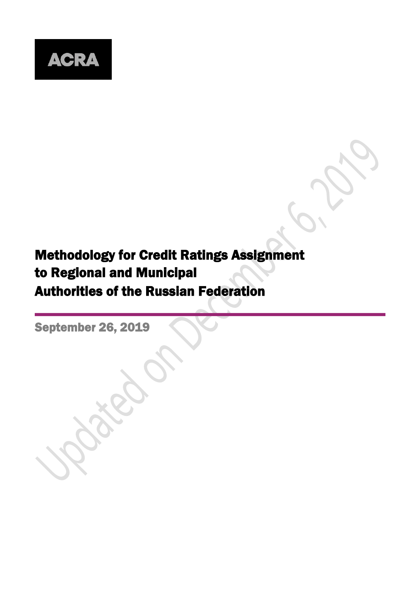

# Methodology for Credit Ratings Assignment to Regional and Municipal Authorities of the Russian Federation

September 26, 2019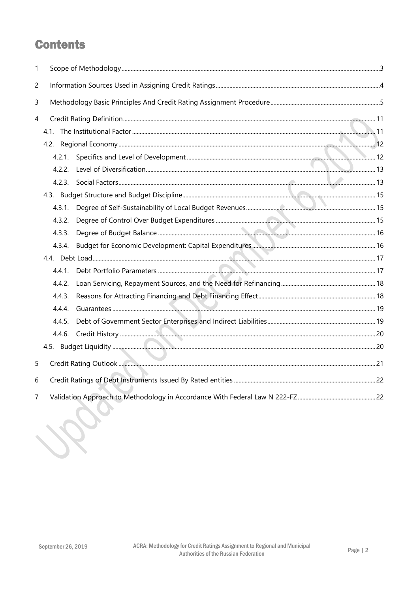# **Contents**

| 1 |        |  |
|---|--------|--|
| 2 |        |  |
| 3 |        |  |
| 4 |        |  |
|   | 4.1.   |  |
|   |        |  |
|   | 4.2.1. |  |
|   | 4.2.2. |  |
|   |        |  |
|   |        |  |
|   | 4.3.1. |  |
|   | 4.3.2. |  |
|   | 4.3.3. |  |
|   | 4.3.4. |  |
|   |        |  |
|   | 4.4.1. |  |
|   | 4.4.2. |  |
|   | 4.4.3. |  |
|   | 4.4.4. |  |
|   | 4.4.5. |  |
|   | 4.4.6. |  |
|   |        |  |
| 5 |        |  |
| 6 |        |  |
| 7 |        |  |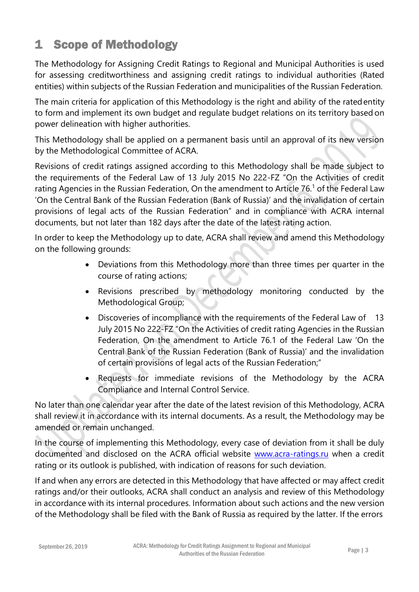# <span id="page-2-0"></span>1 Scope of Methodology

The Methodology for Assigning Credit Ratings to Regional and Municipal Authorities is used for assessing creditworthiness and assigning credit ratings to individual authorities (Rated entities) within subjects of the Russian Federation and municipalities of the Russian Federation.

The main criteria for application of this Methodology is the right and ability of the ratedentity to form and implement its own budget and regulate budget relations on its territory based on power delineation with higher authorities.

This Methodology shall be applied on a permanent basis until an approval of its new version by the Methodological Committee of ACRA.

Revisions of credit ratings assigned according to this Methodology shall be made subject to the requirements of the Federal Law of 13 July 2015 No 222-FZ "On the Activities of credit rating Agencies in the Russian Federation, On the amendment to Article 76.<sup>1</sup> of the Federal Law 'On the Central Bank of the Russian Federation (Bank of Russia)' and the invalidation of certain provisions of legal acts of the Russian Federation" and in compliance with ACRA internal documents, but not later than 182 days after the date of the latest rating action.

In order to keep the Methodology up to date, ACRA shall review and amend this Methodology on the following grounds:

- Deviations from this Methodology more than three times per quarter in the course of rating actions;
- Revisions prescribed by methodology monitoring conducted by the Methodological Group;
- Discoveries of incompliance with the requirements of the Federal Law of 13 July 2015 No 222-FZ "On the Activities of credit rating Agencies in the Russian Federation, On the amendment to Article 76.1 of the Federal Law 'On the Central Bank of the Russian Federation (Bank of Russia)' and the invalidation of certain provisions of legal acts of the Russian Federation;"
- Requests for immediate revisions of the Methodology by the ACRA Compliance and Internal Control Service.

No later than one calendar year after the date of the latest revision of this Methodology, ACRA shall review it in accordance with its internal documents. As a result, the Methodology may be amended or remain unchanged.

In the course of implementing this Methodology, every case of deviation from it shall be duly documented and disclosed on the ACRA official website [www.acra-ratings.ru](http://www.acra-ratings.ru/) when a credit rating or its outlook is published, with indication of reasons for such deviation.

If and when any errors are detected in this Methodology that have affected or may affect credit ratings and/or their outlooks, ACRA shall conduct an analysis and review of this Methodology in accordance with its internal procedures. Information about such actions and the new version of the Methodology shall be filed with the Bank of Russia as required by the latter. If the errors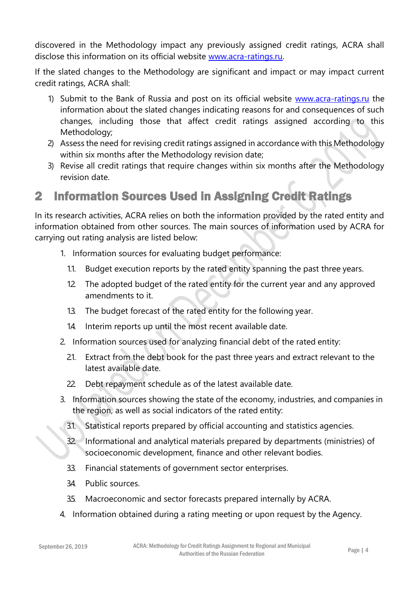discovered in the Methodology impact any previously assigned credit ratings, ACRA shall disclose this information on its official website [www.acra-ratings.ru.](http://www.acra-ratings.ru/)

If the slated changes to the Methodology are significant and impact or may impact current credit ratings, ACRA shall:

- 1) Submit to the Bank of Russia and post on its official website [www.acra-ratings.ru](http://www.acra-ratings.ru/) the information about the slated changes indicating reasons for and consequences of such changes, including those that affect credit ratings assigned according to this Methodology;
- 2) Assess the need for revising credit ratings assigned in accordance with this Methodology within six months after the Methodology revision date;
- 3) Revise all credit ratings that require changes within six months after the Methodology revision date.

# <span id="page-3-0"></span>2 Information Sources Used in Assigning Credit Ratings

In its research activities, ACRA relies on both the information provided by the rated entity and information obtained from other sources. The main sources of information used by ACRA for carrying out rating analysis are listed below:

- 1. Information sources for evaluating budget performance:
	- 1.1. Budget execution reports by the rated entity spanning the past three years.
	- 12 The adopted budget of the rated entity for the current year and any approved amendments to it.
	- 1.3. The budget forecast of the rated entity for the following year.
	- 1.4. Interim reports up until the most recent available date.
- 2. Information sources used for analyzing financial debt of the rated entity:
	- 21. Extract from the debt book for the past three years and extract relevant to the latest available date.
	- 22 Debt repayment schedule as of the latest available date.
- 3. Information sources showing the state of the economy, industries, and companies in the region, as well as social indicators of the rated entity:
	- 3.1. Statistical reports prepared by official accounting and statistics agencies.
	- 32. Informational and analytical materials prepared by departments (ministries) of socioeconomic development, finance and other relevant bodies.
	- 3.3. Financial statements of government sector enterprises.
	- 34 Public sources.
	- 35. Macroeconomic and sector forecasts prepared internally by ACRA.
- 4. Information obtained during a rating meeting or upon request by the Agency.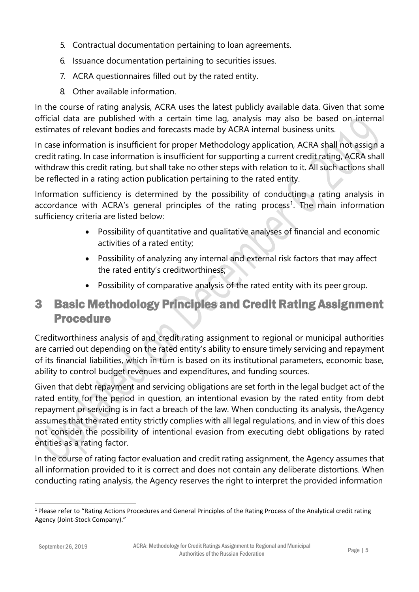- 5. Contractual documentation pertaining to loan agreements.
- 6. Issuance documentation pertaining to securities issues.
- 7. ACRA questionnaires filled out by the rated entity.
- 8. Other available information.

In the course of rating analysis, ACRA uses the latest publicly available data. Given that some official data are published with a certain time lag, analysis may also be based on internal estimates of relevant bodies and forecasts made by ACRA internal business units.

In case information is insufficient for proper Methodology application, ACRA shall not assign a credit rating. In case information is insufficient for supporting a current credit rating, ACRA shall withdraw this credit rating, but shall take no other steps with relation to it. All such actions shall be reflected in a rating action publication pertaining to the rated entity.

Information sufficiency is determined by the possibility of conducting a rating analysis in accordance with ACRA's general principles of the rating process<sup>1</sup>. The main information sufficiency criteria are listed below:

- Possibility of quantitative and qualitative analyses of financial and economic activities of a rated entity;
- Possibility of analyzing any internal and external risk factors that may affect the rated entity's creditworthiness;
- Possibility of comparative analysis of the rated entity with its peer group.

# <span id="page-4-0"></span>3 Basic Methodology Principles and Credit Rating Assignment Procedure

Creditworthiness analysis of and credit rating assignment to regional or municipal authorities are carried out depending on the rated entity's ability to ensure timely servicing and repayment of its financial liabilities, which in turn is based on its institutional parameters, economic base, ability to control budget revenues and expenditures, and funding sources.

Given that debt repayment and servicing obligations are set forth in the legal budget act of the rated entity for the period in question, an intentional evasion by the rated entity from debt repayment or servicing is in fact a breach of the law. When conducting its analysis, theAgency assumes that the rated entity strictly complies with all legal regulations, and in view of this does not consider the possibility of intentional evasion from executing debt obligations by rated entities as a rating factor.

In the course of rating factor evaluation and credit rating assignment, the Agency assumes that all information provided to it is correct and does not contain any deliberate distortions. When conducting rating analysis, the Agency reserves the right to interpret the provided information

<sup>&</sup>lt;sup>1</sup> Please refer to "Rating Actions Procedures and General Principles of the Rating Process of the Analytical credit rating Agency (Joint-Stock Company)."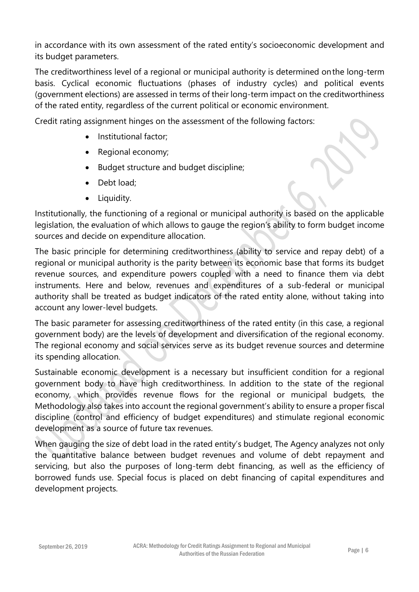in accordance with its own assessment of the rated entity's socioeconomic development and its budget parameters.

The creditworthiness level of a regional or municipal authority is determined onthe long-term basis. Cyclical economic fluctuations (phases of industry cycles) and political events (government elections) are assessed in terms of their long-term impact on the creditworthiness of the rated entity, regardless of the current political or economic environment.

Credit rating assignment hinges on the assessment of the following factors:

- Institutional factor;
- Regional economy;
- Budget structure and budget discipline;
- Debt load;
- Liquidity.

Institutionally, the functioning of a regional or municipal authority is based on the applicable legislation, the evaluation of which allows to gauge the region's ability to form budget income sources and decide on expenditure allocation.

The basic principle for determining creditworthiness (ability to service and repay debt) of a regional or municipal authority is the parity between its economic base that forms its budget revenue sources, and expenditure powers coupled with a need to finance them via debt instruments. Here and below, revenues and expenditures of a sub-federal or municipal authority shall be treated as budget indicators of the rated entity alone, without taking into account any lower-level budgets.

The basic parameter for assessing creditworthiness of the rated entity (in this case, a regional government body) are the levels of development and diversification of the regional economy. The regional economy and social services serve as its budget revenue sources and determine its spending allocation.

Sustainable economic development is a necessary but insufficient condition for a regional government body to have high creditworthiness. In addition to the state of the regional economy, which provides revenue flows for the regional or municipal budgets, the Methodology also takes into account the regional government's ability to ensure a proper fiscal discipline (control and efficiency of budget expenditures) and stimulate regional economic development as a source of future tax revenues.

When gauging the size of debt load in the rated entity's budget, The Agency analyzes not only the quantitative balance between budget revenues and volume of debt repayment and servicing, but also the purposes of long-term debt financing, as well as the efficiency of borrowed funds use. Special focus is placed on debt financing of capital expenditures and development projects.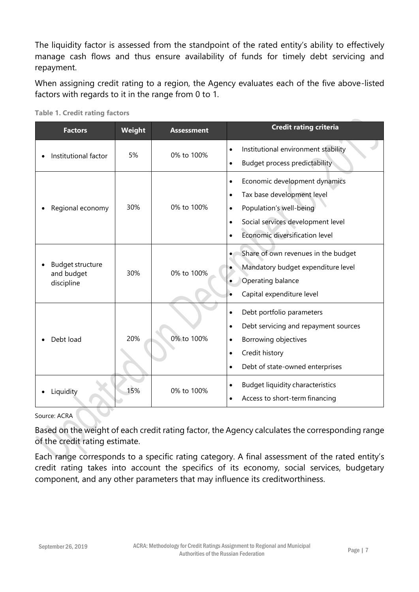The liquidity factor is assessed from the standpoint of the rated entity's ability to effectively manage cash flows and thus ensure availability of funds for timely debt servicing and repayment.

When assigning credit rating to a region, the Agency evaluates each of the five above-listed factors with regards to it in the range from 0 to 1.

| <b>Factors</b>                                      | Weight | <b>Assessment</b> | <b>Credit rating criteria</b>                                                                                                                                                                                                  |
|-----------------------------------------------------|--------|-------------------|--------------------------------------------------------------------------------------------------------------------------------------------------------------------------------------------------------------------------------|
| Institutional factor                                | 5%     | 0% to 100%        | Institutional environment stability<br><b>Budget process predictability</b><br>$\bullet$                                                                                                                                       |
| Regional economy                                    | 30%    | 0% to 100%        | Economic development dynamics<br>$\bullet$<br>Tax base development level<br>$\bullet$<br>Population's well-being<br>$\bullet$<br>Social services development level<br>$\bullet$<br>Economic diversification level<br>$\bullet$ |
| <b>Budget structure</b><br>and budget<br>discipline | 30%    | 0% to 100%        | Share of own revenues in the budget<br>Mandatory budget expenditure level<br>Operating balance<br>Capital expenditure level                                                                                                    |
| Debt load                                           | 20%    | 0% to 100%        | Debt portfolio parameters<br>$\bullet$<br>Debt servicing and repayment sources<br>$\bullet$<br>Borrowing objectives<br>$\bullet$<br>Credit history<br>$\bullet$<br>Debt of state-owned enterprises<br>$\bullet$                |
| Liquidity                                           | 15%    | 0% to 100%        | <b>Budget liquidity characteristics</b><br>Access to short-term financing                                                                                                                                                      |

**Table 1. Credit rating factors**

Source: ACRA

Based on the weight of each credit rating factor, the Agency calculates the corresponding range of the credit rating estimate.

Each range corresponds to a specific rating category. A final assessment of the rated entity's credit rating takes into account the specifics of its economy, social services, budgetary component, and any other parameters that may influence its creditworthiness.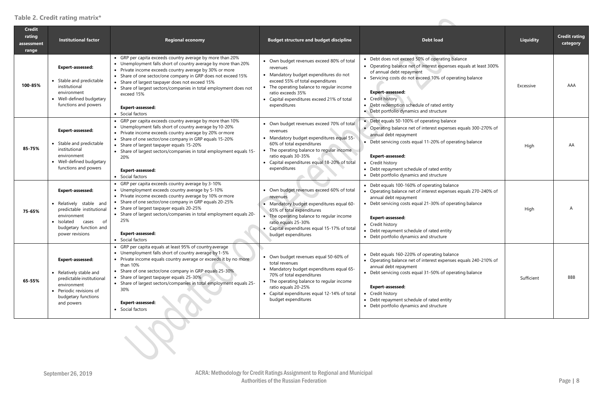#### **Table 2. Credit rating matrix\***

| <b>Credit</b><br>rating<br>assessment<br>range | <b>Institutional factor</b>                                                                                                                                              | <b>Regional economy</b>                                                                                                                                                                                                                                                                                                                                                                                                                     | <b>Budget structure and budget discipline</b>                                                                                                                                                                                                                              | <b>Debt load</b>                                                                                                                                                                                                                                                                                                                                     | Liquidity  | <b>Credit rating</b><br>category |
|------------------------------------------------|--------------------------------------------------------------------------------------------------------------------------------------------------------------------------|---------------------------------------------------------------------------------------------------------------------------------------------------------------------------------------------------------------------------------------------------------------------------------------------------------------------------------------------------------------------------------------------------------------------------------------------|----------------------------------------------------------------------------------------------------------------------------------------------------------------------------------------------------------------------------------------------------------------------------|------------------------------------------------------------------------------------------------------------------------------------------------------------------------------------------------------------------------------------------------------------------------------------------------------------------------------------------------------|------------|----------------------------------|
| 100-85%                                        | <b>Expert-assessed:</b><br>• Stable and predictable<br>institutional<br>environment<br>• Well-defined budgetary<br>functions and powers                                  | • GRP per capita exceeds country average by more than 20%<br>• Unemployment falls short of country average by more than 20%<br>• Private income exceeds country average by 30% or more<br>• Share of one sector/one company in GRP does not exceed 15%<br>• Share of largest taxpayer does not exceed 15%<br>• Share of largest sectors/companies in total employment does not<br>exceed 15%<br><b>Expert-assessed:</b><br>• Social factors | • Own budget revenues exceed 80% of total<br>revenues<br>• Mandatory budget expenditures do not<br>exceed 55% of total expenditures<br>• The operating balance to regular income<br>ratio exceeds 35%<br>• Capital expenditures exceed 21% of total<br>expenditures        | • Debt does not exceed 50% of operating balance<br>• Operating balance net of interest expenses equals at least 300%<br>of annual debt repayment<br>• Servicing costs do not exceed 10% of operating balance<br><b>Expert-assessed:</b><br>• Credit history<br>• Debt redemption schedule of rated entity<br>• Debt portfolio dynamics and structure | Excessive  | AAA                              |
| 85-75%                                         | <b>Expert-assessed:</b><br>• Stable and predictable<br>institutional<br>environment<br>• Well-defined budgetary<br>functions and powers                                  | • GRP per capita exceeds country average by more than 10%<br>• Unemployment falls short of country average by 10-20%<br>• Private income exceeds country average by 20% or more<br>• Share of one sector/one company in GRP equals 15-20%<br>• Share of largest taxpayer equals 15-20%<br>• Share of largest sectors/companies in total employment equals 15-<br>20%<br><b>Expert-assessed:</b><br>• Social factors                         | • Own budget revenues exceed 70% of total<br>revenues<br>• Mandatory budget expenditures equal 55-<br>60% of total expenditures<br>• The operating balance to regular income<br>ratio equals 30-35%<br>• Capital expenditures equal 18-20% of total<br>expenditures        | • Debt equals 50-100% of operating balance<br>• Operating balance net of interest expenses equals 300-270% of<br>annual debt repayment<br>• Debt servicing costs equal 11-20% of operating balance<br>Expert-assessed:<br>• Credit history<br>• Debt repayment schedule of rated entity<br>• Debt portfolio dynamics and structure                   | High       | AA                               |
| 75-65%                                         | <b>Expert-assessed:</b><br>· Relatively stable and<br>predictable institutional<br>environment<br>cases<br>of<br>• Isolated<br>budgetary function and<br>power revisions | • GRP per capita exceeds country average by 3-10%<br>• Unemployment exceeds country average by 5-10%<br>• Private income exceeds country average by 10% or more<br>• Share of one sector/one company in GRP equals 20-25%<br>• Share of largest taxpayer equals 20-25%<br>• Share of largest sectors/companies in total employment equals 20-<br>25%<br><b>Expert-assessed:</b><br>• Social factors                                         | • Own budget revenues exceed 60% of total<br>revenues<br>• Mandatory budget expenditures equal 60-<br>65% of total expenditures<br>• The operating balance to regular income<br>ratio equals 25-30%<br>• Capital expenditures equal 15-17% of total<br>budget expenditures | • Debt equals 100-160% of operating balance<br>• Operating balance net of interest expenses equals 270-240% of<br>annual debt repayment<br>• Debt servicing costs equal 21-30% of operating balance<br>Expert-assessed:<br>• Credit history<br>• Debt repayment schedule of rated entity<br>• Debt portfolio dynamics and structure                  | High       | A                                |
| 65-55%                                         | Expert-assessed:<br>• Relatively stable and<br>predictable institutional<br>environment<br>Periodic revisions of<br>budgetary functions<br>and powers                    | • GRP per capita equals at least 95% of country average<br>• Unemployment falls short of country average by 1-5%<br>• Private income equals country average or exceeds it by no more<br>than 10%<br>• Share of one sector/one company in GRP equals 25-30%<br>• Share of largest taxpayer equals 25-30%<br>• Share of largest sectors/companies in total employment equals 25-<br>30%<br><b>Expert-assessed:</b><br>• Social factors        | • Own budget revenues equal 50-60% of<br>total revenues<br>• Mandatory budget expenditures equal 65-<br>70% of total expenditures<br>The operating balance to regular income<br>ratio equals 20-25%<br>• Capital expenditures equal 12-14% of total<br>budget expenditures | • Debt equals 160-220% of operating balance<br>• Operating balance net of interest expenses equals 240-210% of<br>annual debt repayment<br>• Debt servicing costs equal 31-50% of operating balance<br>Expert-assessed:<br>• Credit history<br>• Debt repayment schedule of rated entity<br>• Debt portfolio dynamics and structure                  | Sufficient | BBB                              |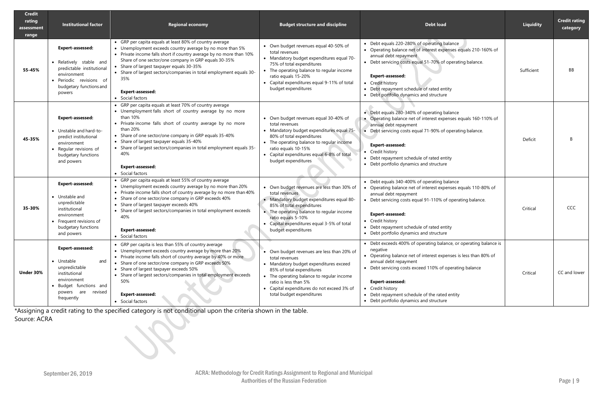| <b>Credit</b><br>rating<br>assessment<br>range | <b>Institutional factor</b>                                                                                                                                | <b>Regional economy</b>                                                                                                                                                                                                                                                                                                                                                                                                                                                                                                                                                                                                                                                                                                                                                              | <b>Budget structure and discipline</b>                                                                                                                                                                                                                                               | <b>Debt load</b>                                                                                                                                                                                                                                                                                                                                                      | <b>Liquidity</b> | <b>Credit rating</b><br>category |
|------------------------------------------------|------------------------------------------------------------------------------------------------------------------------------------------------------------|--------------------------------------------------------------------------------------------------------------------------------------------------------------------------------------------------------------------------------------------------------------------------------------------------------------------------------------------------------------------------------------------------------------------------------------------------------------------------------------------------------------------------------------------------------------------------------------------------------------------------------------------------------------------------------------------------------------------------------------------------------------------------------------|--------------------------------------------------------------------------------------------------------------------------------------------------------------------------------------------------------------------------------------------------------------------------------------|-----------------------------------------------------------------------------------------------------------------------------------------------------------------------------------------------------------------------------------------------------------------------------------------------------------------------------------------------------------------------|------------------|----------------------------------|
| 55-45%                                         | <b>Expert-assessed:</b><br>Relatively stable and<br>predictable institutional<br>environment<br>Periodic revisions of<br>budgetary functions and<br>powers | • GRP per capita equals at least 80% of country average<br>• Own budget revenues equal 40-50% of<br>• Unemployment exceeds country average by no more than 5%<br>total revenues<br>• Private income falls short if country average by no more than 10%<br>annual debt repayment<br>• Mandatory budget expenditures equal 70-<br>Share of one sector/one company in GRP equals 30-35%<br>75% of total expenditures<br>• Share of largest taxpayer equals 30-35%<br>• The operating balance to regular income<br>• Share of largest sectors/companies in total employment equals 30-<br><b>Expert-assessed:</b><br>ratio equals 15-20%<br>35%<br>• Capital expenditures equal 9-11% of total<br>• Credit history<br>budget expenditures<br><b>Expert-assessed:</b><br>• Social factors |                                                                                                                                                                                                                                                                                      | • Debt equals 220-280% of operating balance<br>• Operating balance net of interest expenses equals 210-160% of<br>Debt servicing costs equal 51-70% of operating balance.<br>Debt repayment schedule of rated entity<br>• Debt portfolio dynamics and structure                                                                                                       | Sufficient       | <b>BB</b>                        |
| 45-35%                                         | <b>Expert-assessed:</b><br>• Unstable and hard-to-<br>predict institutional<br>environment<br>Regular revisions of<br>budgetary functions<br>and powers    | • GRP per capita equals at least 70% of country average<br>• Unemployment falls short of country average by no more<br>than 10%<br>• Private income falls short of country average by no more<br>than 20%<br>• Share of one sector/one company in GRP equals 35-40%<br>• Share of largest taxpayer equals 35-40%<br>• Share of largest sectors/companies in total employment equals 35-<br>40%<br><b>Expert-assessed:</b><br>• Social factors                                                                                                                                                                                                                                                                                                                                        | • Own budget revenues equal 30-40% of<br>total revenues<br>• Mandatory budget expenditures equal 75-<br>80% of total expenditures<br>• The operating balance to regular income<br>ratio equals 10-15%<br>• Capital expenditures equal 6-8% of total<br>budget expenditures           | • Debt equals 280-340% of operating balance<br>• Operating balance net of interest expenses equals 160-110% of<br>annual debt repayment<br>Debt servicing costs equal 71-90% of operating balance.<br><b>Expert-assessed:</b><br>Credit history<br>Debt repayment schedule of rated entity<br>• Debt portfolio dynamics and structure                                 | Deficit          | B                                |
| 35-30%                                         | <b>Expert-assessed:</b><br>• Unstable and<br>unpredictable<br>institutional<br>environment<br>• Frequent revisions of<br>budgetary functions<br>and powers | • GRP per capita equals at least 55% of country average<br>• Unemployment exceeds country average by no more than 20%<br>• Private income falls short of country average by no more than 40%<br>• Share of one sector/one company in GRP exceeds 40%<br>• Share of largest taxpayer exceeds 40%<br>• Share of largest sectors/companies in total employment exceeds<br>40%<br><b>Expert-assessed:</b><br>• Social factors                                                                                                                                                                                                                                                                                                                                                            | • Own budget revenues are less than 30% of<br>total revenues<br>· Mandatory budget expenditures equal 80-<br>85% of total expenditures<br>• The operating balance to regular income<br>ratio equals 5-10%<br>• Capital expenditures equal 3-5% of total<br>budget expenditures       | • Debt equals 340-400% of operating balance<br>Operating balance net of interest expenses equals 110-80% of<br>annual debt repayment<br>• Debt servicing costs equal 91-110% of operating balance.<br><b>Expert-assessed:</b><br>• Credit history<br>• Debt repayment schedule of rated entity<br>• Debt portfolio dynamics and structure                             | Critical         | <b>CCC</b>                       |
| Under 30%                                      | <b>Expert-assessed:</b><br>• Unstable<br>and<br>unpredictable<br>institutional<br>environment<br>Budget functions and<br>powers are revised<br>frequently  | • GRP per capita is less than 55% of country average<br>• Unemployment exceeds country average by more than 20%<br>• Private income falls short of country average by 40% or more<br>• Share of one sector/one company in GRP exceeds 50%<br>• Share of largest taxpayer exceeds 50%<br>• Share of largest sectors/companies in total employment exceeds<br>50%<br><b>Expert-assessed:</b><br>• Social factors                                                                                                                                                                                                                                                                                                                                                                       | • Own budget revenues are less than 20% of<br>total revenues<br>• Mandatory budget expenditures exceed<br>85% of total expenditures<br>• The operating balance to regular income<br>ratio is less than 5%<br>• Capital expenditures do not exceed 3% of<br>total budget expenditures | • Debt exceeds 400% of operating balance, or operating balance is<br>negative<br>Operating balance net of interest expenses is less than 80% of<br>annual debt repayment<br>• Debt servicing costs exceed 110% of operating balance<br>Expert-assessed:<br>Credit history<br>• Debt repayment schedule of the rated entity<br>• Debt portfolio dynamics and structure | Critical         | CC and lower                     |

\*Assigning a credit rating to the specified category is not conditional upon the criteria shown in the table. Source: ACRA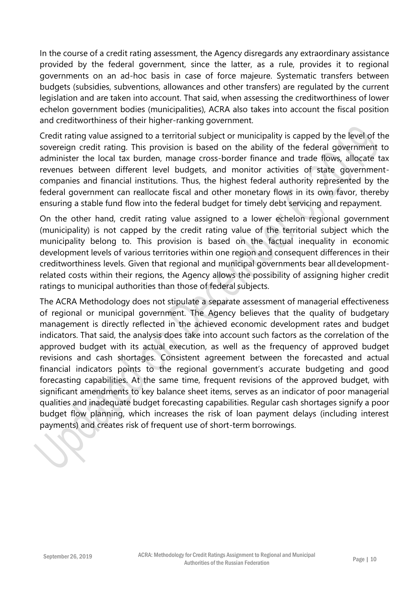In the course of a credit rating assessment, the Agency disregards any extraordinary assistance provided by the federal government, since the latter, as a rule, provides it to regional governments on an ad-hoc basis in case of force majeure. Systematic transfers between budgets (subsidies, subventions, allowances and other transfers) are regulated by the current legislation and are taken into account. That said, when assessing the creditworthiness of lower echelon government bodies (municipalities), ACRA also takes into account the fiscal position and creditworthiness of their higher-ranking government.

Credit rating value assigned to a territorial subject or municipality is capped by the level of the sovereign credit rating. This provision is based on the ability of the federal government to administer the local tax burden, manage cross-border finance and trade flows, allocate tax revenues between different level budgets, and monitor activities of state governmentcompanies and financial institutions. Thus, the highest federal authority represented by the federal government can reallocate fiscal and other monetary flows in its own favor, thereby ensuring a stable fund flow into the federal budget for timely debt servicing and repayment.

On the other hand, credit rating value assigned to a lower echelon regional government (municipality) is not capped by the credit rating value of the territorial subject which the municipality belong to. This provision is based on the factual inequality in economic development levels of various territories within one region and consequent differences in their creditworthiness levels. Given that regional and municipal governments bear alldevelopmentrelated costs within their regions, the Agency allows the possibility of assigning higher credit ratings to municipal authorities than those of federal subjects.

The ACRA Methodology does not stipulate a separate assessment of managerial effectiveness of regional or municipal government. The Agency believes that the quality of budgetary management is directly reflected in the achieved economic development rates and budget indicators. That said, the analysis does take into account such factors as the correlation of the approved budget with its actual execution, as well as the frequency of approved budget revisions and cash shortages. Consistent agreement between the forecasted and actual financial indicators points to the regional government's accurate budgeting and good forecasting capabilities. At the same time, frequent revisions of the approved budget, with significant amendments to key balance sheet items, serves as an indicator of poor managerial qualities and inadequate budget forecasting capabilities. Regular cash shortages signify a poor budget flow planning, which increases the risk of loan payment delays (including interest payments) and creates risk of frequent use of short-term borrowings.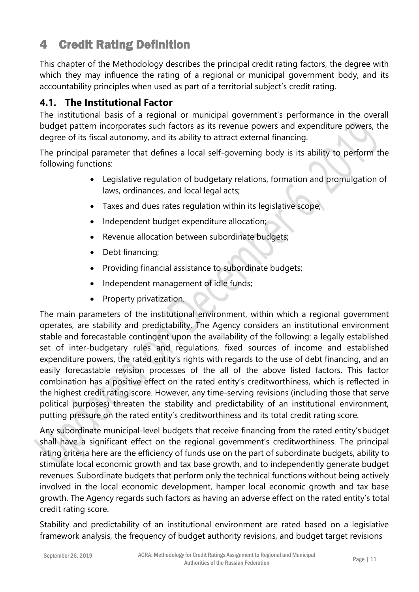# <span id="page-10-0"></span>4 Credit Rating Definition

This chapter of the Methodology describes the principal credit rating factors, the degree with which they may influence the rating of a regional or municipal government body, and its accountability principles when used as part of a territorial subject's credit rating.

## <span id="page-10-1"></span>**4.1. The Institutional Factor**

The institutional basis of a regional or municipal government's performance in the overall budget pattern incorporates such factors as its revenue powers and expenditure powers, the degree of its fiscal autonomy, and its ability to attract external financing.

The principal parameter that defines a local self-governing body is its ability to perform the following functions:

- Legislative regulation of budgetary relations, formation and promulgation of laws, ordinances, and local legal acts;
- Taxes and dues rates regulation within its legislative scope;
- Independent budget expenditure allocation;
- Revenue allocation between subordinate budgets;
- Debt financing;
- Providing financial assistance to subordinate budgets;
- Independent management of idle funds;
- Property privatization.

The main parameters of the institutional environment, within which a regional government operates, are stability and predictability. The Agency considers an institutional environment stable and forecastable contingent upon the availability of the following: a legally established set of inter-budgetary rules and regulations, fixed sources of income and established expenditure powers, the rated entity's rights with regards to the use of debt financing, and an easily forecastable revision processes of the all of the above listed factors. This factor combination has a positive effect on the rated entity's creditworthiness, which is reflected in the highest credit rating score. However, any time-serving revisions (including those that serve political purposes) threaten the stability and predictability of an institutional environment, putting pressure on the rated entity's creditworthiness and its total credit rating score.

Any subordinate municipal-level budgets that receive financing from the rated entity'sbudget shall have a significant effect on the regional government's creditworthiness. The principal rating criteria here are the efficiency of funds use on the part of subordinate budgets, ability to stimulate local economic growth and tax base growth, and to independently generate budget revenues. Subordinate budgets that perform only the technical functions without being actively involved in the local economic development, hamper local economic growth and tax base growth. The Agency regards such factors as having an adverse effect on the rated entity's total credit rating score.

Stability and predictability of an institutional environment are rated based on a legislative framework analysis, the frequency of budget authority revisions, and budget target revisions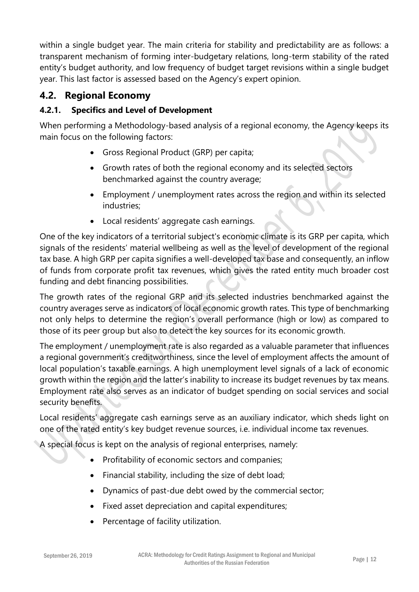within a single budget year. The main criteria for stability and predictability are as follows: a transparent mechanism of forming inter-budgetary relations, long-term stability of the rated entity's budget authority, and low frequency of budget target revisions within a single budget year. This last factor is assessed based on the Agency's expert opinion.

## <span id="page-11-0"></span>**4.2. Regional Economy**

#### <span id="page-11-1"></span>**4.2.1. Specifics and Level of Development**

When performing a Methodology-based analysis of a regional economy, the Agency keeps its main focus on the following factors:

- Gross Regional Product (GRP) per capita;
- Growth rates of both the regional economy and its selected sectors benchmarked against the country average;
- Employment / unemployment rates across the region and within its selected industries;
- Local residents' aggregate cash earnings.

One of the key indicators of a territorial subject's economic climate is its GRP per capita, which signals of the residents' material wellbeing as well as the level of development of the regional tax base. A high GRP per capita signifies a well-developed tax base and consequently, an inflow of funds from corporate profit tax revenues, which gives the rated entity much broader cost funding and debt financing possibilities.

The growth rates of the regional GRP and its selected industries benchmarked against the country averages serve as indicators of local economic growth rates. This type of benchmarking not only helps to determine the region's overall performance (high or low) as compared to those of its peer group but also to detect the key sources for its economic growth.

The employment / unemployment rate is also regarded as a valuable parameter that influences a regional government's creditworthiness, since the level of employment affects the amount of local population's taxable earnings. A high unemployment level signals of a lack of economic growth within the region and the latter's inability to increase its budget revenues by tax means. Employment rate also serves as an indicator of budget spending on social services and social security benefits.

Local residents' aggregate cash earnings serve as an auxiliary indicator, which sheds light on one of the rated entity's key budget revenue sources, i.e. individual income tax revenues.

A special focus is kept on the analysis of regional enterprises, namely:

- Profitability of economic sectors and companies;
- Financial stability, including the size of debt load;
- Dynamics of past-due debt owed by the commercial sector;
- Fixed asset depreciation and capital expenditures;
- Percentage of facility utilization.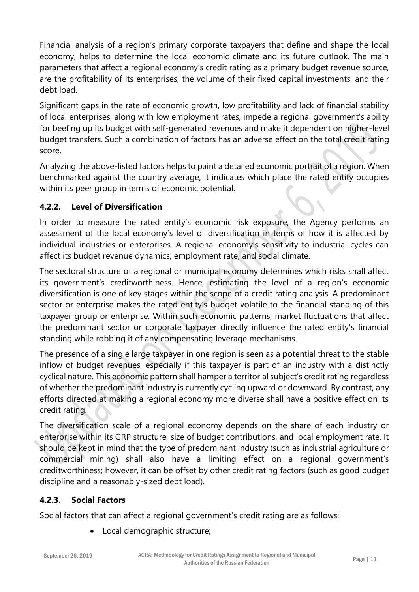Financial analysis of a region's primary corporate taxpayers that define and shape the local economy, helps to determine the local economic climate and its future outlook. The main parameters that affect a regional economy's credit rating as a primary budget revenue source, are the profitability of its enterprises, the volume of their fixed capital investments, and their debt load.

Significant gaps in the rate of economic growth, low profitability and lack of financial stability of local enterprises, along with low employment rates, impede a regional government's ability for beefing up its budget with self-generated revenues and make it dependent on higher-level budget transfers. Such a combination of factors has an adverse effect on the total credit rating score.

Analyzing the above-listed factors helps to paint a detailed economic portrait of a region. When benchmarked against the country average, it indicates which place the rated entity occupies within its peer group in terms of economic potential.

#### <span id="page-12-0"></span>**4.2.2. Level of Diversification**

In order to measure the rated entity's economic risk exposure, the Agency performs an assessment of the local economy's level of diversification in terms of how it is affected by individual industries or enterprises. A regional economy's sensitivity to industrial cycles can affect its budget revenue dynamics, employment rate, and social climate.

The sectoral structure of a regional or municipal economy determines which risks shall affect its government's creditworthiness. Hence, estimating the level of a region's economic diversification is one of key stages within the scope of a credit rating analysis. A predominant sector or enterprise makes the rated entity's budget volatile to the financial standing of this taxpayer group or enterprise. Within such economic patterns, market fluctuations that affect the predominant sector or corporate taxpayer directly influence the rated entity's financial standing while robbing it of any compensating leverage mechanisms.

The presence of a single large taxpayer in one region is seen as a potential threat to the stable inflow of budget revenues, especially if this taxpayer is part of an industry with a distinctly cyclical nature. This economic pattern shall hamper a territorial subject's credit rating regardless of whether the predominant industry is currently cycling upward or downward. By contrast, any efforts directed at making a regional economy more diverse shall have a positive effect on its credit rating.

The diversification scale of a regional economy depends on the share of each industry or enterprise within its GRP structure, size of budget contributions, and local employment rate. It should be kept in mind that the type of predominant industry (such as industrial agriculture or commercial mining) shall also have a limiting effect on a regional government's creditworthiness; however, it can be offset by other credit rating factors (such as good budget discipline and a reasonably-sized debt load).

#### <span id="page-12-1"></span>**4.2.3. Social Factors**

Social factors that can affect a regional government's credit rating are as follows:

Local demographic structure;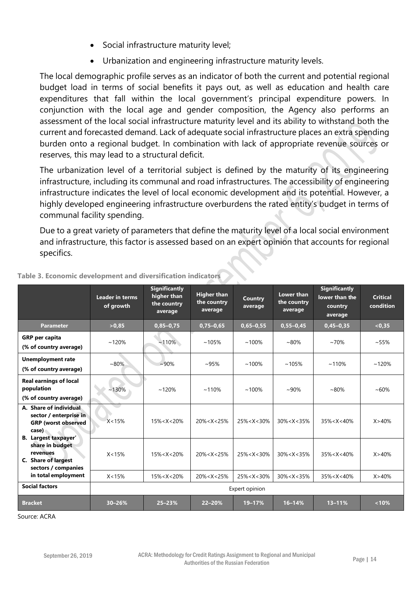- Social infrastructure maturity level;
- Urbanization and engineering infrastructure maturity levels.

The local demographic profile serves as an indicator of both the current and potential regional budget load in terms of social benefits it pays out, as well as education and health care expenditures that fall within the local government's principal expenditure powers. In conjunction with the local age and gender composition, the Agency also performs an assessment of the local social infrastructure maturity level and its ability to withstand both the current and forecasted demand. Lack of adequate social infrastructure places an extra spending burden onto a regional budget. In combination with lack of appropriate revenue sources or reserves, this may lead to a structural deficit.

The urbanization level of a territorial subject is defined by the maturity of its engineering infrastructure, including its communal and road infrastructures. The accessibility of engineering infrastructure indicates the level of local economic development and its potential. However, a highly developed engineering infrastructure overburdens the rated entity's budget in terms of communal facility spending.

Due to a great variety of parameters that define the maturity level of a local social environment and infrastructure, this factor is assessed based on an expert opinion that accounts for regional specifics.

|                                                                                                                 | <b>Leader in terms</b><br>of growth | <b>Significantly</b><br>higher than<br>the country<br>average                                                                                                                                                              | <b>Higher than</b><br>the country<br>average | Country<br>average | Lower than<br>the country<br>average | <b>Significantly</b><br>lower than the<br>country<br>average | <b>Critical</b><br>condition |
|-----------------------------------------------------------------------------------------------------------------|-------------------------------------|----------------------------------------------------------------------------------------------------------------------------------------------------------------------------------------------------------------------------|----------------------------------------------|--------------------|--------------------------------------|--------------------------------------------------------------|------------------------------|
| <b>Parameter</b>                                                                                                | >0,85                               | $0,85 - 0,75$                                                                                                                                                                                                              | $0,75 - 0,65$                                | $0,65 - 0,55$      | $0,55 - 0,45$                        | $0,45-0,35$                                                  | < 0.35                       |
| <b>GRP</b> per capita<br>(% of country average)                                                                 | ~120%                               | $~110\%$                                                                                                                                                                                                                   | ~105%                                        | $~100\%$           | $~80\%$                              | $~10\%$                                                      | $~55\%$                      |
| <b>Unemployment rate</b><br>(% of country average)                                                              | $~10\%$                             | $~10\%$                                                                                                                                                                                                                    | $~105\%$                                     | $~100\%$           | ~105%                                | ~110%                                                        | ~120%                        |
| <b>Real earnings of local</b><br>population<br>(% of country average)                                           | ~130%                               | ~120%                                                                                                                                                                                                                      | ~110%                                        | $~100\%$           | $~10\%$                              | $~80\%$                                                      | $~10\%$                      |
| A. Share of individual<br>sector / enterprise in<br><b>GRP</b> (worst observed<br>case)<br>B. Largest taxpayer' | X < 15%                             | $15\% < X < 20\%$                                                                                                                                                                                                          | $20\% < X < 25\%$                            | $25\% < X < 30\%$  | $30\% < X < 35\%$                    | $35\% < X < 40\%$                                            | X > 40%                      |
| share in budget<br>revenues<br>C. Share of largest<br>sectors / companies                                       | X < 15%                             | $15\% < X < 20\%$                                                                                                                                                                                                          | $20\% < X < 25\%$                            | $25\% < X < 30\%$  | $30\% < X < 35\%$                    | 35% <x<40%< th=""><th>X &gt; 40%</th></x<40%<>               | X > 40%                      |
| in total employment                                                                                             | X < 15%                             | 15% <x<20%< th=""><th><math>20\% &lt; X &lt; 25\%</math></th><th><math>25\% &lt; X &lt; 30\%</math></th><th><math>30\% &lt; X &lt; 35\%</math></th><th><math>35\% &lt; X &lt; 40\%</math></th><th>X &gt; 40%</th></x<20%<> | $20\% < X < 25\%$                            | $25\% < X < 30\%$  | $30\% < X < 35\%$                    | $35\% < X < 40\%$                                            | X > 40%                      |
| <b>Social factors</b>                                                                                           |                                     |                                                                                                                                                                                                                            |                                              | Expert opinion     |                                      |                                                              |                              |
| <b>Bracket</b>                                                                                                  | $30 - 26%$                          | $25 - 23%$                                                                                                                                                                                                                 | 22-20%                                       | 19-17%             | $16 - 14%$                           | $13 - 11%$                                                   | $< 10\%$                     |

#### **Table 3. Economic development and diversification indicators**

Source: ACRA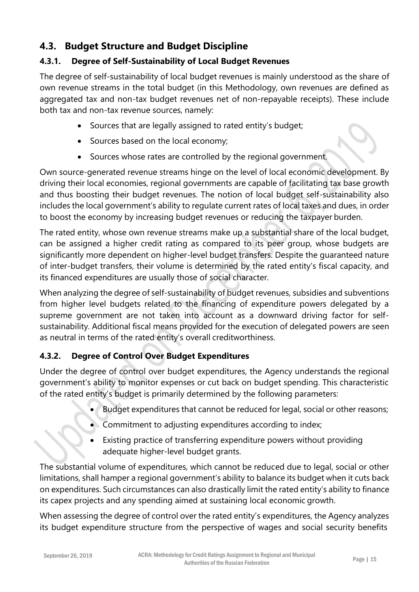## <span id="page-14-0"></span>**4.3. Budget Structure and Budget Discipline**

#### <span id="page-14-1"></span>**4.3.1. Degree of Self-Sustainability of Local Budget Revenues**

The degree of self-sustainability of local budget revenues is mainly understood as the share of own revenue streams in the total budget (in this Methodology, own revenues are defined as aggregated tax and non-tax budget revenues net of non-repayable receipts). These include both tax and non-tax revenue sources, namely:

- Sources that are legally assigned to rated entity's budget;
- Sources based on the local economy;
- Sources whose rates are controlled by the regional government.

Own source-generated revenue streams hinge on the level of local economic development. By driving their local economies, regional governments are capable of facilitating tax base growth and thus boosting their budget revenues. The notion of local budget self-sustainability also includes the local government's ability to regulate current rates of local taxes and dues, in order to boost the economy by increasing budget revenues or reducing the taxpayer burden.

The rated entity, whose own revenue streams make up a substantial share of the local budget, can be assigned a higher credit rating as compared to its peer group, whose budgets are significantly more dependent on higher-level budget transfers. Despite the guaranteed nature of inter-budget transfers, their volume is determined by the rated entity's fiscal capacity, and its financed expenditures are usually those of social character.

When analyzing the degree of self-sustainability of budget revenues, subsidies and subventions from higher level budgets related to the financing of expenditure powers delegated by a supreme government are not taken into account as a downward driving factor for selfsustainability. Additional fiscal means provided for the execution of delegated powers are seen as neutral in terms of the rated entity's overall creditworthiness.

#### <span id="page-14-2"></span>**4.3.2. Degree of Control Over Budget Expenditures**

Under the degree of control over budget expenditures, the Agency understands the regional government's ability to monitor expenses or cut back on budget spending. This characteristic of the rated entity's budget is primarily determined by the following parameters:

- Budget expenditures that cannot be reduced for legal, social or other reasons;
- Commitment to adjusting expenditures according to index;
- Existing practice of transferring expenditure powers without providing adequate higher-level budget grants.

The substantial volume of expenditures, which cannot be reduced due to legal, social or other limitations, shall hamper a regional government's ability to balance its budget when it cuts back on expenditures. Such circumstances can also drastically limit the rated entity's ability to finance its capex projects and any spending aimed at sustaining local economic growth.

When assessing the degree of control over the rated entity's expenditures, the Agency analyzes its budget expenditure structure from the perspective of wages and social security benefits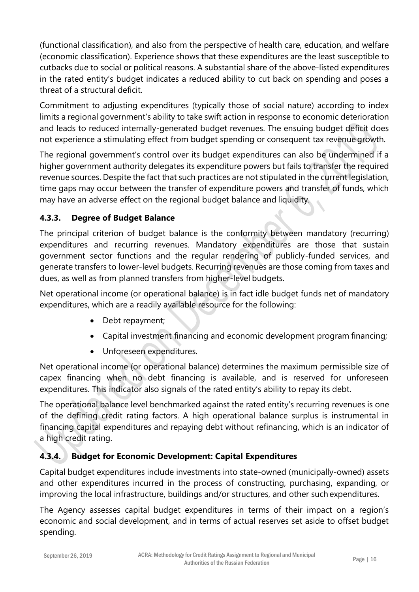(functional classification), and also from the perspective of health care, education, and welfare (economic classification). Experience shows that these expenditures are the least susceptible to cutbacks due to social or political reasons. A substantial share of the above-listed expenditures in the rated entity's budget indicates a reduced ability to cut back on spending and poses a threat of a structural deficit.

Commitment to adjusting expenditures (typically those of social nature) according to index limits a regional government's ability to take swift action in response to economic deterioration and leads to reduced internally-generated budget revenues. The ensuing budget deficit does not experience a stimulating effect from budget spending or consequent tax revenue growth.

The regional government's control over its budget expenditures can also be undermined if a higher government authority delegates its expenditure powers but fails to transfer the required revenue sources. Despite the fact that such practices are not stipulated in the current legislation, time gaps may occur between the transfer of expenditure powers and transfer of funds, which may have an adverse effect on the regional budget balance and liquidity.

#### <span id="page-15-0"></span>**4.3.3. Degree of Budget Balance**

The principal criterion of budget balance is the conformity between mandatory (recurring) expenditures and recurring revenues. Mandatory expenditures are those that sustain government sector functions and the regular rendering of publicly-funded services, and generate transfers to lower-level budgets. Recurring revenues are those coming from taxes and dues, as well as from planned transfers from higher-level budgets.

Net operational income (or operational balance) is in fact idle budget funds net of mandatory expenditures, which are a readily available resource for the following:

- Debt repayment;
- Capital investment financing and economic development program financing;
- Unforeseen expenditures.

Net operational income (or operational balance) determines the maximum permissible size of capex financing when no debt financing is available, and is reserved for unforeseen expenditures. This indicator also signals of the rated entity's ability to repay its debt.

The operational balance level benchmarked against the rated entity's recurring revenues is one of the defining credit rating factors. A high operational balance surplus is instrumental in financing capital expenditures and repaying debt without refinancing, which is an indicator of a high credit rating.

#### <span id="page-15-1"></span>**4.3.4. Budget for Economic Development: Capital Expenditures**

Capital budget expenditures include investments into state-owned (municipally-owned) assets and other expenditures incurred in the process of constructing, purchasing, expanding, or improving the local infrastructure, buildings and/or structures, and other such expenditures.

The Agency assesses capital budget expenditures in terms of their impact on a region's economic and social development, and in terms of actual reserves set aside to offset budget spending.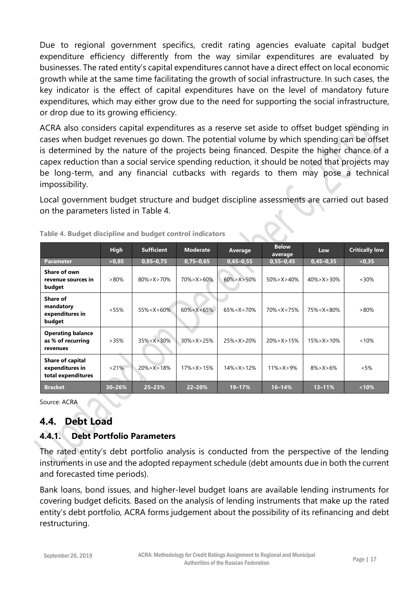Due to regional government specifics, credit rating agencies evaluate capital budget expenditure efficiency differently from the way similar expenditures are evaluated by businesses. The rated entity's capital expenditures cannot have a direct effect on local economic growth while at the same time facilitating the growth of social infrastructure. In such cases, the key indicator is the effect of capital expenditures have on the level of mandatory future expenditures, which may either grow due to the need for supporting the social infrastructure, or drop due to its growing efficiency.

ACRA also considers capital expenditures as a reserve set aside to offset budget spending in cases when budget revenues go down. The potential volume by which spending can be offset is determined by the nature of the projects being financed. Despite the higher chance of a capex reduction than a social service spending reduction, it should be noted that projects may be long-term, and any financial cutbacks with regards to them may pose a technical impossibility.

Local government budget structure and budget discipline assessments are carried out based on the parameters listed in Table 4.

|                                                           | <b>High</b> | <b>Sufficient</b> | <b>Moderate</b>   | Average           | <b>Below</b><br>average | Low                                                       | <b>Critically low</b> |
|-----------------------------------------------------------|-------------|-------------------|-------------------|-------------------|-------------------------|-----------------------------------------------------------|-----------------------|
| <b>Parameter</b>                                          | >0,85       | $0,85 - 0,75$     | $0,75 - 0,65$     | $0,65 - 0,55$     | $0,55 - 0,45$           | $0,45 - 0,35$                                             | < 0.35                |
| Share of own<br>revenue sources in<br>budget              | $>80\%$     | $80\% > X > 70\%$ | $70\% > X > 60\%$ | $60\% > X > 50\%$ | $50\% > X > 40\%$       | $40\% > X > 30\%$                                         | $<30\%$               |
| Share of<br>mandatory<br>expenditures in<br>budget        | < 55%       | $55\% < X < 60\%$ | $60\% < X < 65\%$ | $65\% < X < 70\%$ | $70\% < X < 75\%$       | 75% <x<80%< th=""><th><math>&gt;80\%</math></th></x<80%<> | $>80\%$               |
| <b>Operating balance</b><br>as % of recurring<br>revenues | >35%        | $35\% > X > 30\%$ | $30\% > X > 25\%$ | $25\% > X > 20\%$ | $20\% > X > 15\%$       | $15\% > X > 10\%$                                         | $< 10\%$              |
| Share of capital<br>expenditures in<br>total expenditures | $>21\%$     | $20\% > X > 18\%$ | $17\% > X > 15\%$ | $14\% > X > 12\%$ | $11\% > X > 9\%$        | $8\% > X > 6\%$                                           | $<5\%$                |
| <b>Bracket</b>                                            | $30 - 26%$  | $25 - 23%$        | 22-20%            | 19-17%            | $16 - 14%$              | $13 - 11%$                                                | $< 10\%$              |

**Table 4. Budget discipline and budget control indicators**

Source: ACRA

#### <span id="page-16-0"></span>**4.4. Debt Load**

#### <span id="page-16-1"></span>**4.4.1. Debt Portfolio Parameters**

The rated entity's debt portfolio analysis is conducted from the perspective of the lending instruments in use and the adopted repayment schedule (debt amounts due in both the current and forecasted time periods).

Bank loans, bond issues, and higher-level budget loans are available lending instruments for covering budget deficits. Based on the analysis of lending instruments that make up the rated entity's debt portfolio, ACRA forms judgement about the possibility of its refinancing and debt restructuring.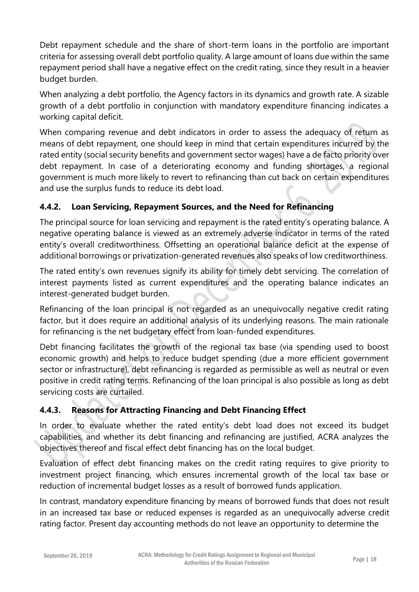Debt repayment schedule and the share of short-term loans in the portfolio are important criteria for assessing overall debt portfolio quality. A large amount of loans due within the same repayment period shall have a negative effect on the credit rating, since they result in a heavier budget burden.

When analyzing a debt portfolio, the Agency factors in its dynamics and growth rate. A sizable growth of a debt portfolio in conjunction with mandatory expenditure financing indicates a working capital deficit.

When comparing revenue and debt indicators in order to assess the adequacy of return as means of debt repayment, one should keep in mind that certain expenditures incurred by the rated entity (social security benefits and government sector wages) have a de facto priority over debt repayment. In case of a deteriorating economy and funding shortages, a regional government is much more likely to revert to refinancing than cut back on certain expenditures and use the surplus funds to reduce its debt load.

#### <span id="page-17-0"></span>**4.4.2. Loan Servicing, Repayment Sources, and the Need for Refinancing**

The principal source for loan servicing and repayment is the rated entity's operating balance. A negative operating balance is viewed as an extremely adverse indicator in terms of the rated entity's overall creditworthiness. Offsetting an operational balance deficit at the expense of additional borrowings or privatization-generated revenues also speaks of low creditworthiness.

The rated entity's own revenues signify its ability for timely debt servicing. The correlation of interest payments listed as current expenditures and the operating balance indicates an interest-generated budget burden.

Refinancing of the loan principal is not regarded as an unequivocally negative credit rating factor, but it does require an additional analysis of its underlying reasons. The main rationale for refinancing is the net budgetary effect from loan-funded expenditures.

Debt financing facilitates the growth of the regional tax base (via spending used to boost economic growth) and helps to reduce budget spending (due a more efficient government sector or infrastructure), debt refinancing is regarded as permissible as well as neutral or even positive in credit rating terms. Refinancing of the loan principal is also possible as long as debt servicing costs are curtailed.

#### <span id="page-17-1"></span>**4.4.3. Reasons for Attracting Financing and Debt Financing Effect**

In order to evaluate whether the rated entity's debt load does not exceed its budget capabilities, and whether its debt financing and refinancing are justified, ACRA analyzes the objectives thereof and fiscal effect debt financing has on the local budget.

Evaluation of effect debt financing makes on the credit rating requires to give priority to investment project financing, which ensures incremental growth of the local tax base or reduction of incremental budget losses as a result of borrowed funds application.

In contrast, mandatory expenditure financing by means of borrowed funds that does not result in an increased tax base or reduced expenses is regarded as an unequivocally adverse credit rating factor. Present day accounting methods do not leave an opportunity to determine the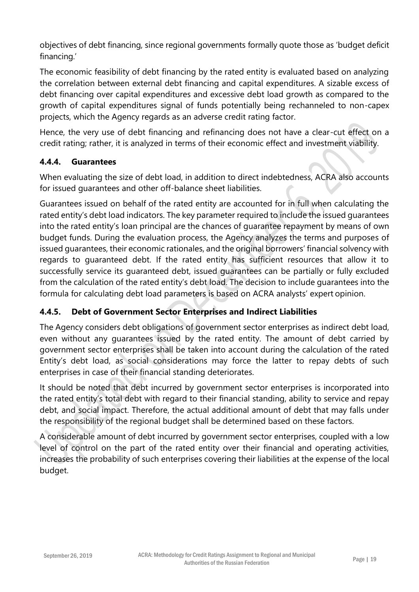objectives of debt financing, since regional governments formally quote those as 'budget deficit financing.'

The economic feasibility of debt financing by the rated entity is evaluated based on analyzing the correlation between external debt financing and capital expenditures. A sizable excess of debt financing over capital expenditures and excessive debt load growth as compared to the growth of capital expenditures signal of funds potentially being rechanneled to non-capex projects, which the Agency regards as an adverse credit rating factor.

Hence, the very use of debt financing and refinancing does not have a clear-cut effect on a credit rating; rather, it is analyzed in terms of their economic effect and investment viability.

#### <span id="page-18-0"></span>**4.4.4. Guarantees**

When evaluating the size of debt load, in addition to direct indebtedness, ACRA also accounts for issued guarantees and other off-balance sheet liabilities.

Guarantees issued on behalf of the rated entity are accounted for in full when calculating the rated entity's debt load indicators. The key parameter required to include the issued guarantees into the rated entity's loan principal are the chances of guarantee repayment by means of own budget funds. During the evaluation process, the Agency analyzes the terms and purposes of issued guarantees, their economic rationales, and the original borrowers' financial solvency with regards to guaranteed debt. If the rated entity has sufficient resources that allow it to successfully service its guaranteed debt, issued guarantees can be partially or fully excluded from the calculation of the rated entity's debt load. The decision to include guarantees into the formula for calculating debt load parameters is based on ACRA analysts' expert opinion.

#### <span id="page-18-1"></span>**4.4.5. Debt of Government Sector Enterprises and Indirect Liabilities**

The Agency considers debt obligations of government sector enterprises as indirect debt load, even without any guarantees issued by the rated entity. The amount of debt carried by government sector enterprises shall be taken into account during the calculation of the rated Entity's debt load, as social considerations may force the latter to repay debts of such enterprises in case of their financial standing deteriorates.

It should be noted that debt incurred by government sector enterprises is incorporated into the rated entity's total debt with regard to their financial standing, ability to service and repay debt, and social impact. Therefore, the actual additional amount of debt that may falls under the responsibility of the regional budget shall be determined based on these factors.

A considerable amount of debt incurred by government sector enterprises, coupled with a low level of control on the part of the rated entity over their financial and operating activities, increases the probability of such enterprises covering their liabilities at the expense of the local budget.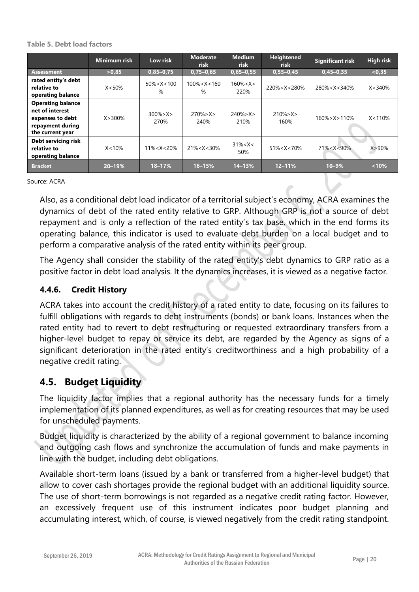#### **Table 5. Debt load factors**

|                                                                                                         | <b>Minimum risk</b> | Low risk              | <b>Moderate</b><br>risk | <b>Medium</b><br><b>risk</b> | <b>Heightened</b><br><b>risk</b>                                                                | <b>Significant risk</b>                                      | High risk  |
|---------------------------------------------------------------------------------------------------------|---------------------|-----------------------|-------------------------|------------------------------|-------------------------------------------------------------------------------------------------|--------------------------------------------------------------|------------|
| <b>Assessment</b>                                                                                       | >0,85               | $0,85 - 0,75$         | $0,75 - 0,65$           | $0,65 - 0,55$                | $0,55 - 0,45$                                                                                   | $0,45 - 0,35$                                                | < 0.35     |
| rated entity's debt<br>relative to<br>operating balance                                                 | $X < 50\%$          | $50\% < X < 100$<br>% | $100\% < X < 160$<br>%  | $160\% < X <$<br>220%        | 220% <x<280%< th=""><th>280%<x<340%< th=""><th>X &gt; 340%</th></x<340%<></th></x<280%<>        | 280% <x<340%< th=""><th>X &gt; 340%</th></x<340%<>           | X > 340%   |
| <b>Operating balance</b><br>net of interest<br>expenses to debt<br>repayment during<br>the current year | $X > 300\%$         | $300\% > X >$<br>270% | $270\% > X >$<br>240%   | $240\% > X >$<br>210%        | $210\% > X >$<br>160%                                                                           | $160\%$ > X > 110\%                                          | X < 110%   |
| Debt servicing risk<br>relative to<br>operating balance                                                 | $X < 10\%$          | $11\% < X < 20\%$     | $21\% < X < 30\%$       | $31\% < X <$<br>50%          | 51% <x<70%< th=""><th>71%<x<90%< th=""><th><math>X &gt; 90\%</math></th></x<90%<></th></x<70%<> | 71% <x<90%< th=""><th><math>X &gt; 90\%</math></th></x<90%<> | $X > 90\%$ |
| <b>Bracket</b>                                                                                          | $20 - 19%$          | 18-17%                | $16 - 15%$              | $14 - 13%$                   | $12 - 11%$                                                                                      | $10 - 9%$                                                    | $< 10\%$   |

Source: ACRA

Also, as a conditional debt load indicator of a territorial subject's economy, ACRA examines the dynamics of debt of the rated entity relative to GRP. Although GRP is not a source of debt repayment and is only a reflection of the rated entity's tax base, which in the end forms its operating balance, this indicator is used to evaluate debt burden on a local budget and to perform a comparative analysis of the rated entity within its peer group.

The Agency shall consider the stability of the rated entity's debt dynamics to GRP ratio as a positive factor in debt load analysis. It the dynamics increases, it is viewed as a negative factor.

#### <span id="page-19-0"></span>**4.4.6. Credit History**

ACRA takes into account the credit history of a rated entity to date, focusing on its failures to fulfill obligations with regards to debt instruments (bonds) or bank loans. Instances when the rated entity had to revert to debt restructuring or requested extraordinary transfers from a higher-level budget to repay or service its debt, are regarded by the Agency as signs of a significant deterioration in the rated entity's creditworthiness and a high probability of a negative credit rating.

#### <span id="page-19-1"></span>**4.5. Budget Liquidity**

The liquidity factor implies that a regional authority has the necessary funds for a timely implementation of its planned expenditures, as well as for creating resources that may be used for unscheduled payments.

Budget liquidity is characterized by the ability of a regional government to balance incoming and outgoing cash flows and synchronize the accumulation of funds and make payments in line with the budget, including debt obligations.

Available short-term loans (issued by a bank or transferred from a higher-level budget) that allow to cover cash shortages provide the regional budget with an additional liquidity source. The use of short-term borrowings is not regarded as a negative credit rating factor. However, an excessively frequent use of this instrument indicates poor budget planning and accumulating interest, which, of course, is viewed negatively from the credit rating standpoint.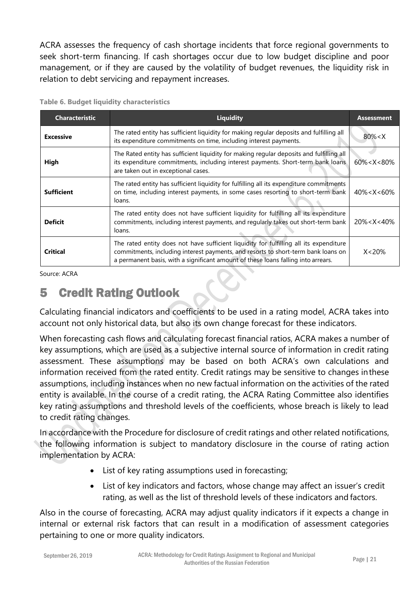ACRA assesses the frequency of cash shortage incidents that force regional governments to seek short-term financing. If cash shortages occur due to low budget discipline and poor management, or if they are caused by the volatility of budget revenues, the liquidity risk in relation to debt servicing and repayment increases.

| <b>Characteristic</b> | <b>Liquidity</b>                                                                                                                                                                                                                                                 | <b>Assessment</b> |
|-----------------------|------------------------------------------------------------------------------------------------------------------------------------------------------------------------------------------------------------------------------------------------------------------|-------------------|
| <b>Excessive</b>      | The rated entity has sufficient liquidity for making regular deposits and fulfilling all<br>its expenditure commitments on time, including interest payments.                                                                                                    | $80\% < X$        |
| High                  | The Rated entity has sufficient liquidity for making regular deposits and fulfilling all<br>its expenditure commitments, including interest payments. Short-term bank loans<br>are taken out in exceptional cases.                                               | $60\% < X < 80\%$ |
| <b>Sufficient</b>     | The rated entity has sufficient liquidity for fulfilling all its expenditure commitments<br>on time, including interest payments, in some cases resorting to short-term bank<br>loans.                                                                           | $40\% < X < 60\%$ |
| <b>Deficit</b>        | The rated entity does not have sufficient liquidity for fulfilling all its expenditure<br>commitments, including interest payments, and regularly takes out short-term bank<br>loans.                                                                            | $20\% < X < 40\%$ |
| Critical              | The rated entity does not have sufficient liquidity for fulfilling all its expenditure<br>commitments, including interest payments, and resorts to short-term bank loans on<br>a permanent basis, with a significant amount of these loans falling into arrears. | $X < 20\%$        |

**Table 6. Budget liquidity characteristics**

Source: ACRA

# <span id="page-20-0"></span>5 Credit Rating Outlook

Calculating financial indicators and coefficients to be used in a rating model, ACRA takes into account not only historical data, but also its own change forecast for these indicators.

When forecasting cash flows and calculating forecast financial ratios, ACRA makes a number of key assumptions, which are used as a subjective internal source of information in credit rating assessment. These assumptions may be based on both ACRA's own calculations and information received from the rated entity. Credit ratings may be sensitive to changes inthese assumptions, including instances when no new factual information on the activities of the rated entity is available. In the course of a credit rating, the ACRA Rating Committee also identifies key rating assumptions and threshold levels of the coefficients, whose breach is likely to lead to credit rating changes.

In accordance with the Procedure for disclosure of credit ratings and other related notifications, the following information is subject to mandatory disclosure in the course of rating action implementation by ACRA:

- List of key rating assumptions used in forecasting;
- List of key indicators and factors, whose change may affect an issuer's credit rating, as well as the list of threshold levels of these indicators and factors.

Also in the course of forecasting, ACRA may adjust quality indicators if it expects a change in internal or external risk factors that can result in a modification of assessment categories pertaining to one or more quality indicators.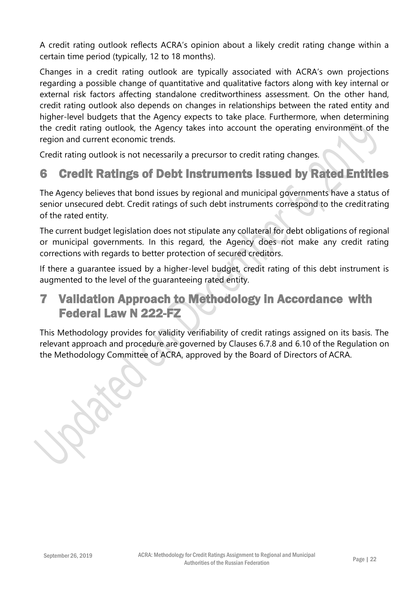A credit rating outlook reflects ACRA's opinion about a likely credit rating change within a certain time period (typically, 12 to 18 months).

Changes in a credit rating outlook are typically associated with ACRA's own projections regarding a possible change of quantitative and qualitative factors along with key internal or external risk factors affecting standalone creditworthiness assessment. On the other hand, credit rating outlook also depends on changes in relationships between the rated entity and higher-level budgets that the Agency expects to take place. Furthermore, when determining the credit rating outlook, the Agency takes into account the operating environment of the region and current economic trends.

Credit rating outlook is not necessarily a precursor to credit rating changes.

# <span id="page-21-0"></span>6 Credit Ratings of Debt Instruments Issued by Rated Entities

The Agency believes that bond issues by regional and municipal governments have a status of senior unsecured debt. Credit ratings of such debt instruments correspond to the creditrating of the rated entity.

The current budget legislation does not stipulate any collateral for debt obligations of regional or municipal governments. In this regard, the Agency does not make any credit rating corrections with regards to better protection of secured creditors.

If there a guarantee issued by a higher-level budget, credit rating of this debt instrument is augmented to the level of the guaranteeing rated entity.

# <span id="page-21-1"></span>7 Validation Approach to Methodology in Accordance with Federal Law N 222-FZ

This Methodology provides for validity verifiability of credit ratings assigned on its basis. The relevant approach and procedure are governed by Clauses 6.7.8 and 6.10 of the Regulation on the Methodology Committee of ACRA, approved by the Board of Directors of ACRA.